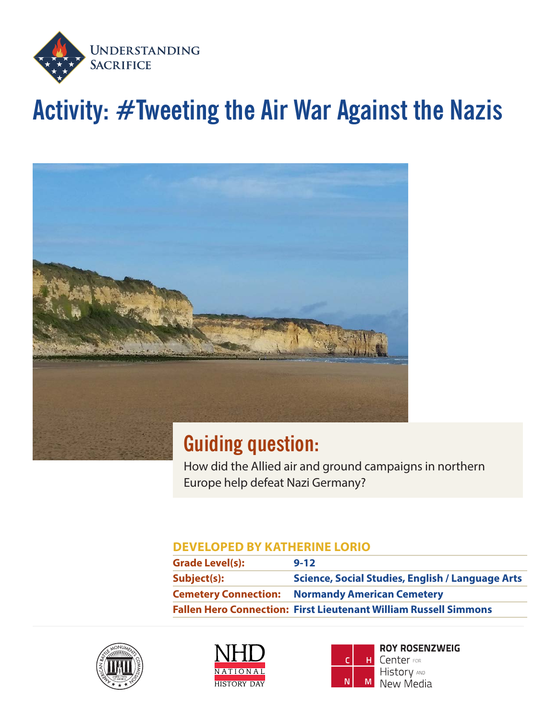

# **Activity: #Tweeting the Air War Against the Nazis**



#### **Guiding question:**

How did the Allied air and ground campaigns in northern Europe help defeat Nazi Germany?

#### **DEVELOPED BY KATHERINE LORIO**

| <b>Grade Level(s):</b> | $9 - 12$                                                                |
|------------------------|-------------------------------------------------------------------------|
| Subject(s):            | <b>Science, Social Studies, English / Language Arts</b>                 |
|                        | <b>Cemetery Connection: Normandy American Cemetery</b>                  |
|                        | <b>Fallen Hero Connection: First Lieutenant William Russell Simmons</b> |







**ROY ROSENZWEIG** Center FOR **History AND** M New Media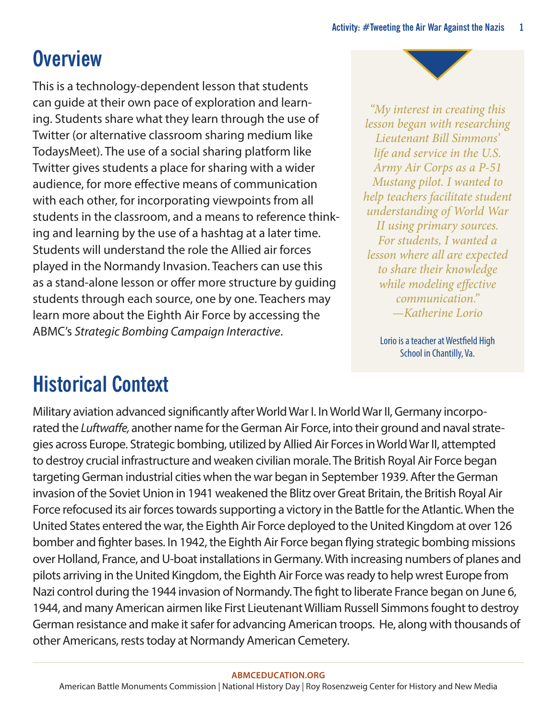## **Overview**

This is a technology-dependent lesson that students can guide at their own pace of exploration and learning. Students share what they learn through the use of Twitter (or alternative classroom sharing medium like TodaysMeet). The use of a social sharing platform like Twitter gives students a place for sharing with a wider audience, for more effective means of communication with each other, for incorporating viewpoints from all students in the classroom, and a means to reference thinking and learning by the use of a hashtag at a later time. Students will understand the role the Allied air forces played in the Normandy Invasion. Teachers can use this as a stand-alone lesson or offer more structure by guiding students through each source, one by one. Teachers may learn more about the Eighth Air Force by accessing the ABMC's *Strategic Bombing Campaign Interactive*.

*"My interest in creating this lesson began with researching Lieutenant Bill Simmons' life and service in the U.S. Army Air Corps as a P-51 Mustang pilot. I wanted to help teachers facilitate student understanding of World War II using primary sources. For students, I wanted a lesson where all are expected to share their knowledge while modeling effective communication." —Katherine Lorio*

> Lorio is a teacher at Westfield High School in Chantilly, Va.

## **Historical Context**

Military aviation advanced significantly after World War I. In World War II, Germany incorporated the *Luftwaffe,* another name for the German Air Force, into their ground and naval strategies across Europe. Strategic bombing, utilized by Allied Air Forces in World War II, attempted to destroy crucial infrastructure and weaken civilian morale. The British Royal Air Force began targeting German industrial cities when the war began in September 1939. After the German invasion of the Soviet Union in 1941 weakened the Blitz over Great Britain, the British Royal Air Force refocused its air forces towards supporting a victory in the Battle for the Atlantic. When the United States entered the war, the Eighth Air Force deployed to the United Kingdom at over 126 bomber and fighter bases. In 1942, the Eighth Air Force began flying strategic bombing missions over Holland, France, and U-boat installations in Germany. With increasing numbers of planes and pilots arriving in the United Kingdom, the Eighth Air Force was ready to help wrest Europe from Nazi control during the 1944 invasion of Normandy. The fight to liberate France began on June 6, 1944, and many American airmen like First Lieutenant William Russell Simmons fought to destroy German resistance and make it safer for advancing American troops. He, along with thousands of other Americans, rests today at Normandy American Cemetery.

#### **[ABMCEDUCATION.ORG](http://abmceducation.org)**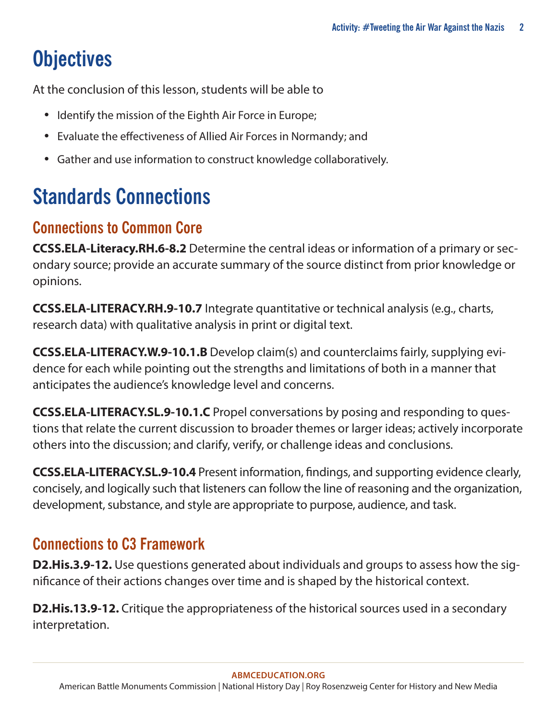# **Objectives**

At the conclusion of this lesson, students will be able to

- Identify the mission of the Eighth Air Force in Europe;
- Evaluate the effectiveness of Allied Air Forces in Normandy; and
- Gather and use information to construct knowledge collaboratively.

# **Standards Connections**

#### **Connections to Common Core**

**CCSS.ELA-Literacy.RH.6-8.2** Determine the central ideas or information of a primary or secondary source; provide an accurate summary of the source distinct from prior knowledge or opinions.

**[CCSS.ELA-LITERACY.RH.9-10.7](http://www.corestandards.org/ELA-Literacy/RH/9-10/7/)** Integrate quantitative or technical analysis (e.g., charts, research data) with qualitative analysis in print or digital text.

**[CCSS.ELA-LITERACY.W.9-10.1.B](http://www.corestandards.org/ELA-Literacy/W/9-10/1/b/)** [D](http://www.corestandards.org/ELA-Literacy/W/9-10/1/b/)evelop claim(s) and counterclaims fairly, supplying evidence for each while pointing out the strengths and limitations of both in a manner that anticipates the audience's knowledge level and concerns.

**[CCSS.ELA-LITERACY.SL.9-10.1.C](http://www.corestandards.org/ELA-Literacy/SL/9-10/1/c/)** Propel conversations by posing and responding to questions that relate the current discussion to broader themes or larger ideas; actively incorporate others into the discussion; and clarify, verify, or challenge ideas and conclusions.

**[CCSS.ELA-LITERACY.SL.9-10.4](http://www.corestandards.org/ELA-Literacy/SL/9-10/4/)** Present information, findings, and supporting evidence clearly, concisely, and logically such that listeners can follow the line of reasoning and the organization, development, substance, and style are appropriate to purpose, audience, and task.

#### **Connections to C3 Framework**

**D2.His.3.9-12.** Use questions generated about individuals and groups to assess how the significance of their actions changes over time and is shaped by the historical context.

**D2.His.13.9-12.** Critique the appropriateness of the historical sources used in a secondary interpretation.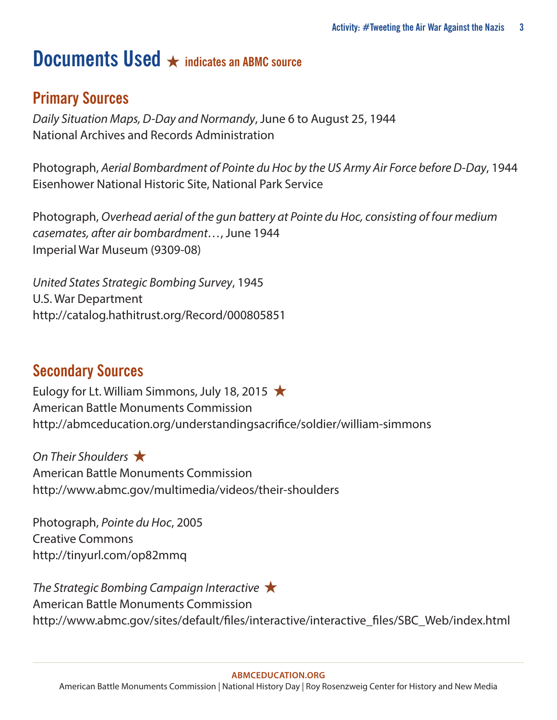#### **Documents Used** ★ **indicates an ABMC source**

#### **Primary Sources**

*Daily Situation Maps, D-Day and Normandy*, June 6 to August 25, 1944 National Archives and Records Administration

Photograph, *Aerial Bombardment of Pointe du Hoc by the US Army Air Force before D-Day*, 1944 Eisenhower National Historic Site, National Park Service

Photograph, *Overhead aerial of the gun battery at Pointe du Hoc, consisting of four medium casemates, after air bombardment…*, June 1944 Imperial War Museum (9309-08)

*United States Strategic Bombing Survey*, 1945 U.S. War Department <http://catalog.hathitrust.org/Record/000805851>

#### **Secondary Sources**

Eulogy for Lt. William Simmons, July 18, 2015  $\star$ American Battle Monuments Commission http://abmceducation.org/understandingsacrifice/soldier/william-simmons

*On Their Shoulders* ★ American Battle Monuments Commission <http://www.abmc.gov/multimedia/videos/their-shoulders>

Photograph, *Pointe du Hoc*, 2005 Creative Commons http://tinyurl.com/op82mmq

*The Strategic Bombing Campaign Interactive* ★ American Battle Monuments Commission [http://www.abmc.gov/sites/default/files/interactive/interactive\\_files/SBC\\_Web/index.html](http://www.abmc.gov/sites/default/files/interactive/interactive_files/SBC_Web/index.html)

#### **[ABMCEDUCATION.ORG](http://abmceducation.org)**

American Battle Monuments Commission | National History Day | Roy Rosenzweig Center for History and New Media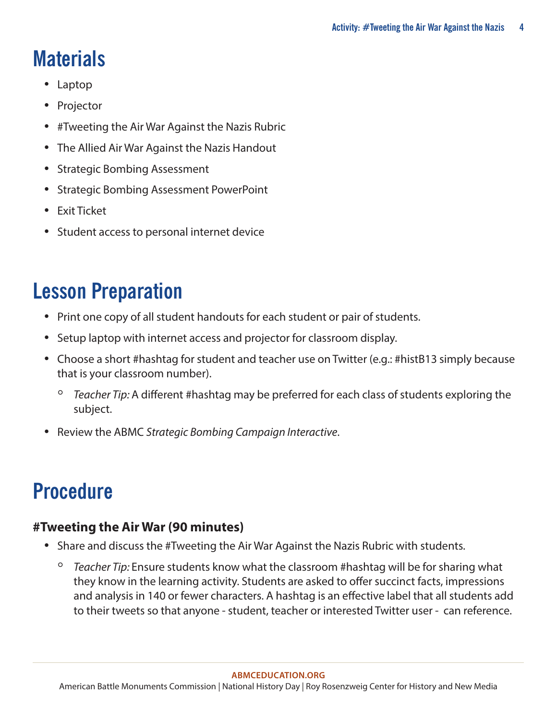# **Materials**

- Laptop
- Projector
- #Tweeting the Air War Against the Nazis Rubric
- The Allied Air War Against the Nazis Handout
- Strategic Bombing Assessment
- Strategic Bombing Assessment PowerPoint
- Exit Ticket
- Student access to personal internet device

## **Lesson Preparation**

- Print one copy of all student handouts for each student or pair of students.
- Setup laptop with internet access and projector for classroom display.
- Choose a short #hashtag for student and teacher use on Twitter (e.g.: #histB13 simply because that is your classroom number).
	- *Teacher Tip:* A different #hashtag may be preferred for each class of students exploring the subject.
- Review the ABMC *Strategic Bombing Campaign Interactive*.

# **Procedure**

#### **#Tweeting the Air War (90 minutes)**

- Share and discuss the #Tweeting the Air War Against the Nazis Rubric with students.
	- *Teacher Tip:* Ensure students know what the classroom #hashtag will be for sharing what they know in the learning activity. Students are asked to offer succinct facts, impressions and analysis in 140 or fewer characters. A hashtag is an effective label that all students add to their tweets so that anyone - student, teacher or interested Twitter user - can reference.

**[ABMCEDUCATION.ORG](http://abmceducation.org)**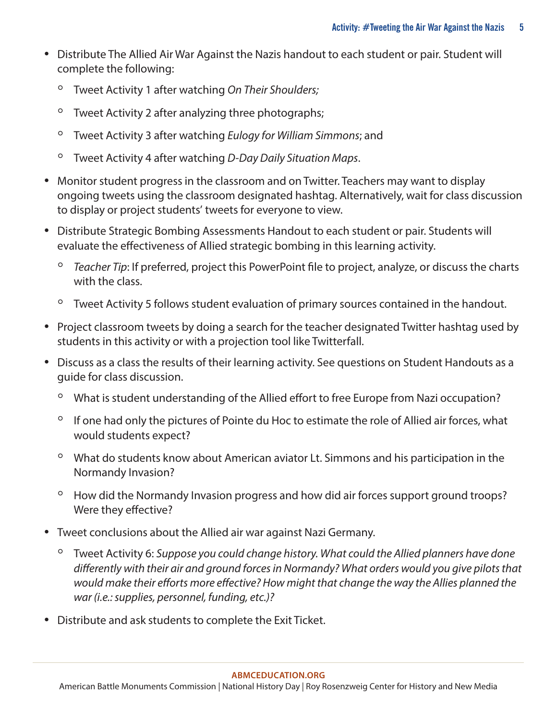- Distribute The Allied Air War Against the Nazis handout to each student or pair. Student will complete the following:
	- Tweet Activity 1 after watching *On Their Shoulders;*
	- Tweet Activity 2 after analyzing three photographs;
	- Tweet Activity 3 after watching *Eulogy for William Simmons*; and
	- Tweet Activity 4 after watching *D-Day Daily Situation Maps*.
- Monitor student progress in the classroom and on Twitter. Teachers may want to display ongoing tweets using the classroom designated hashtag. Alternatively, wait for class discussion to display or project students' tweets for everyone to view.
- Distribute Strategic Bombing Assessments Handout to each student or pair. Students will evaluate the effectiveness of Allied strategic bombing in this learning activity.
	- *Teacher Tip*: If preferred, project this PowerPoint file to project, analyze, or discuss the charts with the class.
	- Tweet Activity 5 follows student evaluation of primary sources contained in the handout.
- Project classroom tweets by doing a search for the teacher designated Twitter hashtag used by students in this activity or with a projection tool like Twitterfall.
- Discuss as a class the results of their learning activity. See questions on Student Handouts as a guide for class discussion.
	- What is student understanding of the Allied effort to free Europe from Nazi occupation?
	- If one had only the pictures of Pointe du Hoc to estimate the role of Allied air forces, what would students expect?
	- What do students know about American aviator Lt. Simmons and his participation in the Normandy Invasion?
	- How did the Normandy Invasion progress and how did air forces support ground troops? Were they effective?
- Tweet conclusions about the Allied air war against Nazi Germany.
	- Tweet Activity 6: *Suppose you could change history. What could the Allied planners have done differently with their air and ground forces in Normandy? What orders would you give pilots that would make their efforts more effective? How might that change the way the Allies planned the war (i.e.: supplies, personnel, funding, etc.)?*
- Distribute and ask students to complete the Exit Ticket.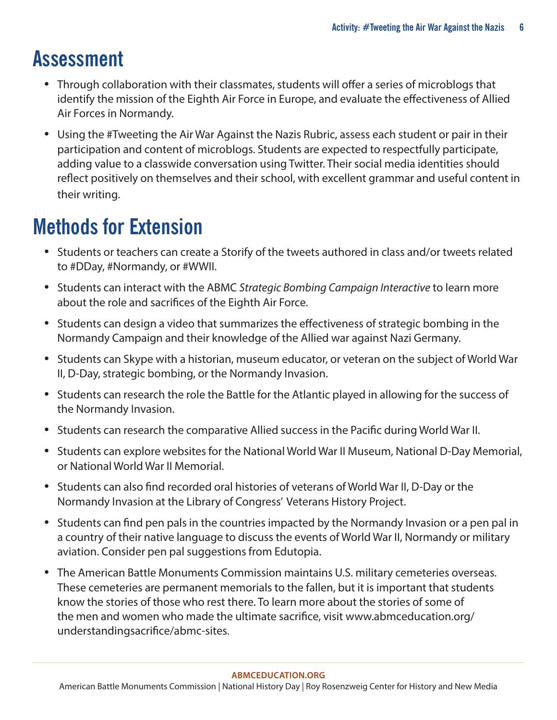### **Assessment**

- Through collaboration with their classmates, students will offer a series of microblogs that identify the mission of the Eighth Air Force in Europe, and evaluate the effectiveness of Allied Air Forces in Normandy.
- Using the #Tweeting the Air War Against the Nazis Rubric, assess each student or pair in their participation and content of microblogs. Students are expected to respectfully participate, adding value to a classwide conversation using Twitter. Their social media identities should reflect positively on themselves and their school, with excellent grammar and useful content in their writing.

## **Methods for Extension**

- Students or teachers can create a Storify of the tweets authored in class and/or tweets related to #DDay, #Normandy, or #WWII.
- Students can interact with the ABMC *Strategic Bombing Campaign Interactive* to learn more about the role and sacrifices of the Eighth Air Force.
- Students can design a video that summarizes the effectiveness of strategic bombing in the Normandy Campaign and their knowledge of the Allied war against Nazi Germany.
- Students can Skype with a historian, museum educator, or veteran on the subject of World War II, D-Day, strategic bombing, or the Normandy Invasion.
- Students can research the role the Battle for the Atlantic played in allowing for the success of the Normandy Invasion.
- Students can research the comparative Allied success in the Pacific during World War II.
- Students can explore websites for the National World War II Museum, National D-Day Memorial, or National World War II Memorial.
- Students can also find recorded oral histories of veterans of World War II, D-Day or the Normandy Invasion at the Library of Congress' Veterans History Project.
- Students can find pen pals in the countries impacted by the Normandy Invasion or a pen pal in a country of their native language to discuss the events of World War II, Normandy or military aviation. Consider pen pal suggestions from Edutopia.
- The American Battle Monuments Commission maintains U.S. military cemeteries overseas. These cemeteries are permanent memorials to the fallen, but it is important that students know the stories of those who rest there. To learn more about the stories of some of the men and women who made the ultimate sacrifice, visi[t](http://www.abmceducation.org/understandingsacrifice/abmc-sites) [www.abmceducation.org/](http://www.abmceducation.org/understandingsacrifice/abmc-sites) [understandingsacrifice/abmc-sites.](http://www.abmceducation.org/understandingsacrifice/abmc-sites)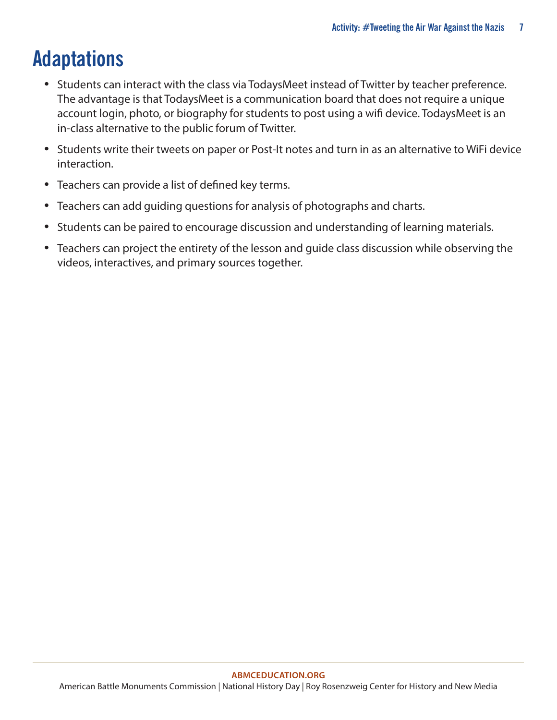# **Adaptations**

- Students can interact with the class via TodaysMeet instead of Twitter by teacher preference. The advantage is that TodaysMeet is a communication board that does not require a unique account login, photo, or biography for students to post using a wifi device. TodaysMeet is an in-class alternative to the public forum of Twitter.
- Students write their tweets on paper or Post-It notes and turn in as an alternative to WiFi device interaction.
- Teachers can provide a list of defined key terms.
- Teachers can add guiding questions for analysis of photographs and charts.
- Students can be paired to encourage discussion and understanding of learning materials.
- Teachers can project the entirety of the lesson and guide class discussion while observing the videos, interactives, and primary sources together.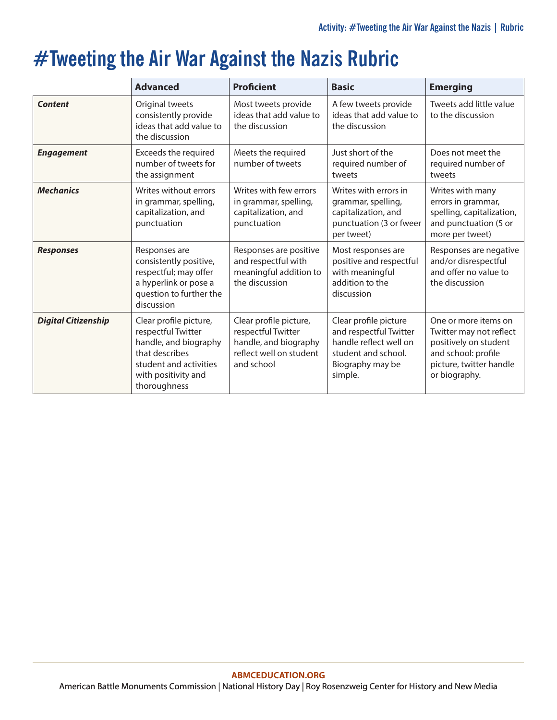## **#Tweeting the Air War Against the Nazis Rubric**

|                            | <b>Advanced</b>                                                                                                                                          | <b>Proficient</b>                                                                                              | <b>Basic</b>                                                                                                                    | <b>Emerging</b>                                                                                                                             |
|----------------------------|----------------------------------------------------------------------------------------------------------------------------------------------------------|----------------------------------------------------------------------------------------------------------------|---------------------------------------------------------------------------------------------------------------------------------|---------------------------------------------------------------------------------------------------------------------------------------------|
| <b>Content</b>             | Original tweets<br>consistently provide<br>ideas that add value to<br>the discussion                                                                     | Most tweets provide<br>ideas that add value to<br>the discussion                                               | A few tweets provide<br>ideas that add value to<br>the discussion                                                               | Tweets add little value<br>to the discussion                                                                                                |
| <b>Engagement</b>          | Exceeds the required<br>number of tweets for<br>the assignment                                                                                           | Meets the required<br>number of tweets                                                                         | Just short of the<br>required number of<br>tweets                                                                               | Does not meet the<br>required number of<br>tweets                                                                                           |
| <b>Mechanics</b>           | Writes without errors<br>in grammar, spelling,<br>capitalization, and<br>punctuation                                                                     | Writes with few errors<br>in grammar, spelling,<br>capitalization, and<br>punctuation                          | Writes with errors in<br>grammar, spelling,<br>capitalization, and<br>punctuation (3 or fweer<br>per tweet)                     | Writes with many<br>errors in grammar,<br>spelling, capitalization,<br>and punctuation (5 or<br>more per tweet)                             |
| <b>Responses</b>           | Responses are<br>consistently positive,<br>respectful; may offer<br>a hyperlink or pose a<br>question to further the<br>discussion                       | Responses are positive<br>and respectful with<br>meaningful addition to<br>the discussion                      | Most responses are<br>positive and respectful<br>with meaningful<br>addition to the<br>discussion                               | Responses are negative<br>and/or disrespectful<br>and offer no value to<br>the discussion                                                   |
| <b>Digital Citizenship</b> | Clear profile picture,<br>respectful Twitter<br>handle, and biography<br>that describes<br>student and activities<br>with positivity and<br>thoroughness | Clear profile picture,<br>respectful Twitter<br>handle, and biography<br>reflect well on student<br>and school | Clear profile picture<br>and respectful Twitter<br>handle reflect well on<br>student and school.<br>Biography may be<br>simple. | One or more items on<br>Twitter may not reflect<br>positively on student<br>and school: profile<br>picture, twitter handle<br>or biography. |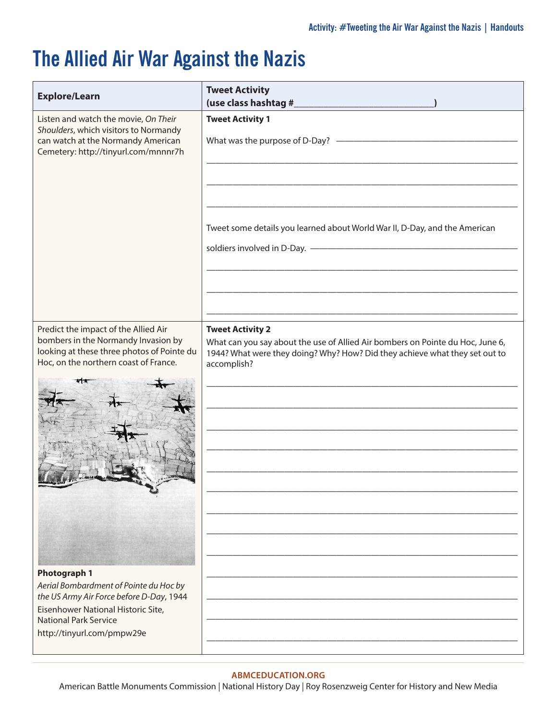### **The Allied Air War Against the Nazis**

| <b>Explore/Learn</b>                                                                                                                                                                                          | <b>Tweet Activity</b><br>(use class hashtag #_                                                                                                                                                          |
|---------------------------------------------------------------------------------------------------------------------------------------------------------------------------------------------------------------|---------------------------------------------------------------------------------------------------------------------------------------------------------------------------------------------------------|
| Listen and watch the movie, On Their<br>Shoulders, which visitors to Normandy<br>can watch at the Normandy American<br>Cemetery: http://tinyurl.com/mnnnr7h                                                   | <b>Tweet Activity 1</b><br>What was the purpose of D-Day? $-$                                                                                                                                           |
|                                                                                                                                                                                                               | Tweet some details you learned about World War II, D-Day, and the American                                                                                                                              |
| Predict the impact of the Allied Air<br>bombers in the Normandy Invasion by<br>looking at these three photos of Pointe du<br>Hoc, on the northern coast of France.                                            | <b>Tweet Activity 2</b><br>What can you say about the use of Allied Air bombers on Pointe du Hoc, June 6,<br>1944? What were they doing? Why? How? Did they achieve what they set out to<br>accomplish? |
| <b>Photograph 1</b><br>Aerial Bombardment of Pointe du Hoc by<br>the US Army Air Force before D-Day, 1944<br>Eisenhower National Historic Site,<br><b>National Park Service</b><br>http://tinyurl.com/pmpw29e |                                                                                                                                                                                                         |

#### **[ABMCEDUCATION.ORG](http://abmceducation.org)**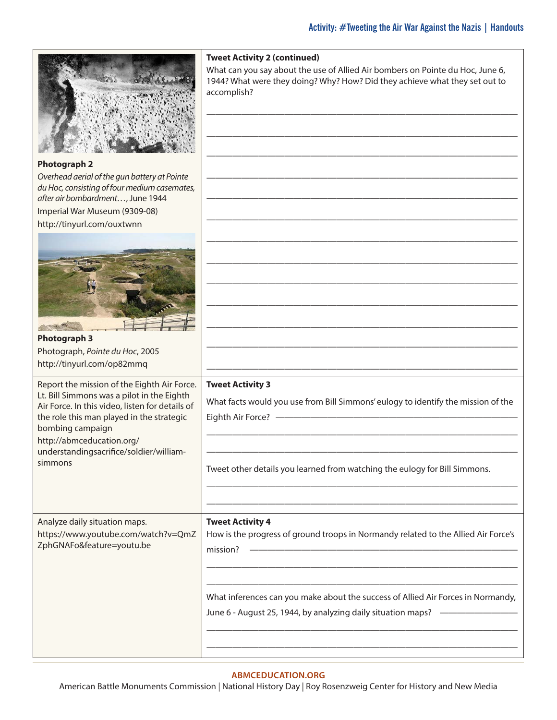|                                                                                                                                                                                                                                                                                                  | <b>Tweet Activity 2 (continued)</b><br>What can you say about the use of Allied Air bombers on Pointe du Hoc, June 6,<br>1944? What were they doing? Why? How? Did they achieve what they set out to<br>accomplish? |
|--------------------------------------------------------------------------------------------------------------------------------------------------------------------------------------------------------------------------------------------------------------------------------------------------|---------------------------------------------------------------------------------------------------------------------------------------------------------------------------------------------------------------------|
| <b>Photograph 2</b><br>Overhead aerial of the gun battery at Pointe<br>du Hoc, consisting of four medium casemates,<br>after air bombardment, June 1944<br>Imperial War Museum (9309-08)<br>http://tinyurl.com/ouxtwnn                                                                           |                                                                                                                                                                                                                     |
| <b>Photograph 3</b><br>Photograph, Pointe du Hoc, 2005<br>http://tinyurl.com/op82mmq                                                                                                                                                                                                             |                                                                                                                                                                                                                     |
| Report the mission of the Eighth Air Force.<br>Lt. Bill Simmons was a pilot in the Eighth<br>Air Force. In this video, listen for details of<br>the role this man played in the strategic<br>bombing campaign<br>http://abmceducation.org/<br>understandingsacrifice/soldier/william-<br>simmons | <b>Tweet Activity 3</b><br>What facts would you use from Bill Simmons' eulogy to identify the mission of the<br>Eighth Air Force? -                                                                                 |
|                                                                                                                                                                                                                                                                                                  | Tweet other details you learned from watching the eulogy for Bill Simmons.                                                                                                                                          |
| Analyze daily situation maps.<br>https://www.youtube.com/watch?v=QmZ<br>ZphGNAFo&feature=youtu.be                                                                                                                                                                                                | <b>Tweet Activity 4</b><br>How is the progress of ground troops in Normandy related to the Allied Air Force's<br>mission?                                                                                           |
|                                                                                                                                                                                                                                                                                                  | What inferences can you make about the success of Allied Air Forces in Normandy,<br>June 6 - August 25, 1944, by analyzing daily situation maps?                                                                    |

#### **[ABMCEDUCATION.ORG](http://abmceducation.org)**

American Battle Monuments Commission | National History Day | Roy Rosenzweig Center for History and New Media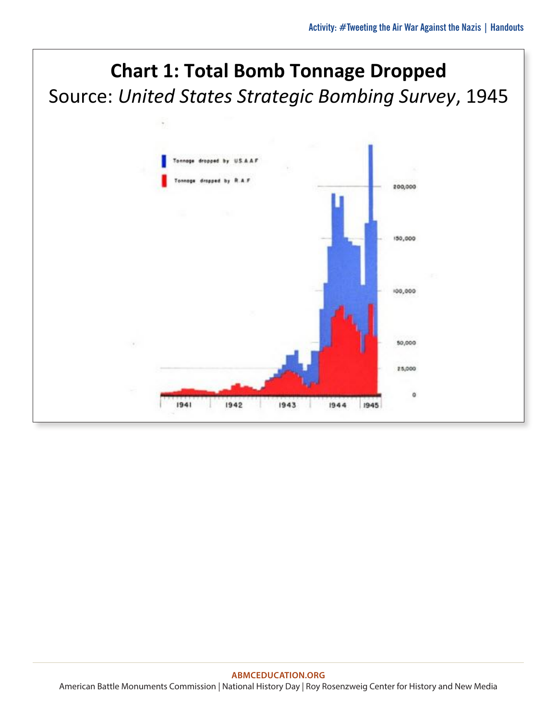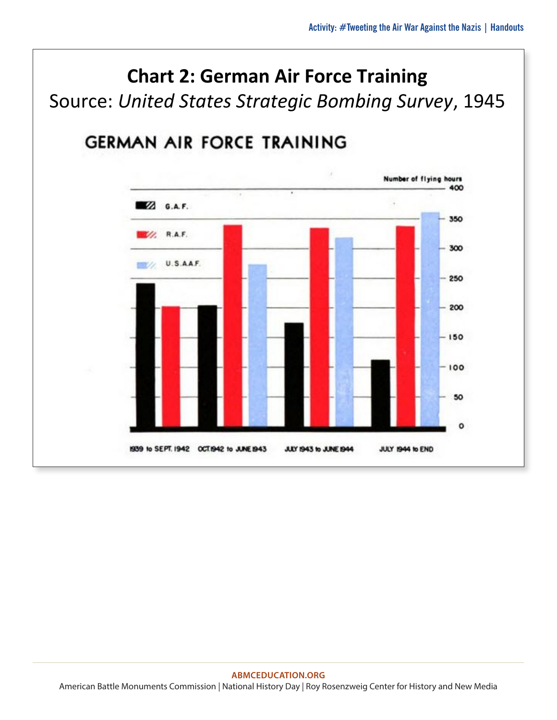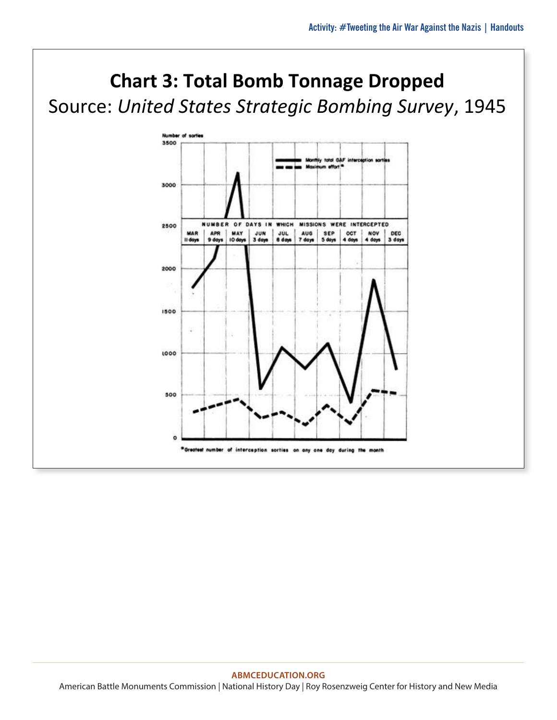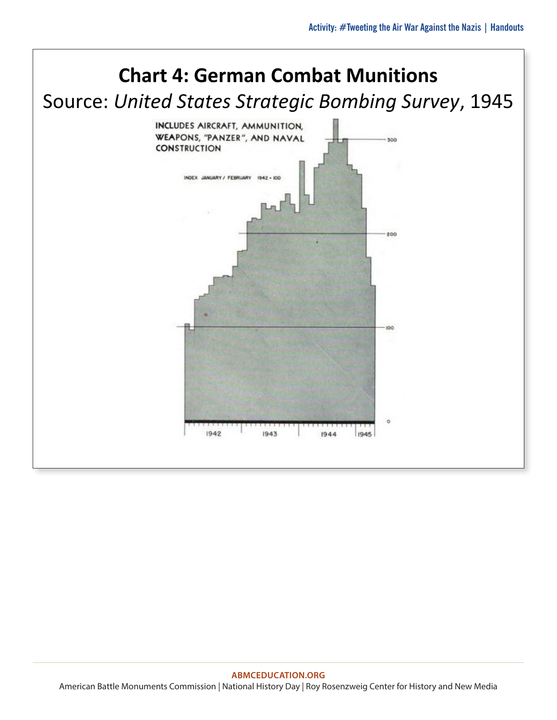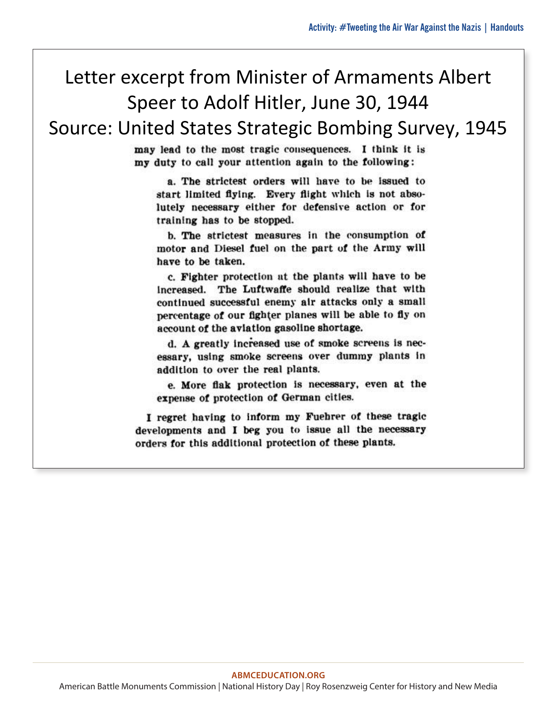#### Letter excerpt from Minister of Armaments Albert Speer to Adolf Hitler, June 30, 1944

Source: United States Strategic Bombing Survey, 1945

may lead to the most tragic consequences. I think it is my duty to call your attention again to the following:

a. The strictest orders will have to be issued to start limited flying. Every flight which is not absolutely necessary either for defensive action or for training has to be stopped.

b. The strictest measures in the consumption of motor and Diesel fuel on the part of the Army will have to be taken.

c. Fighter protection at the plants will have to be increased. The Luftwaffe should realize that with continued successful enemy air attacks only a small percentage of our fighter planes will be able to fly on account of the aviation gasoline shortage.

d. A greatly increased use of smoke screens is necessary, using smoke screens over dummy plants in addition to over the real plants.

e. More flak protection is necessary, even at the expense of protection of German cities.

I regret having to inform my Fuehrer of these tragic developments and I beg you to issue all the necessary orders for this additional protection of these plants.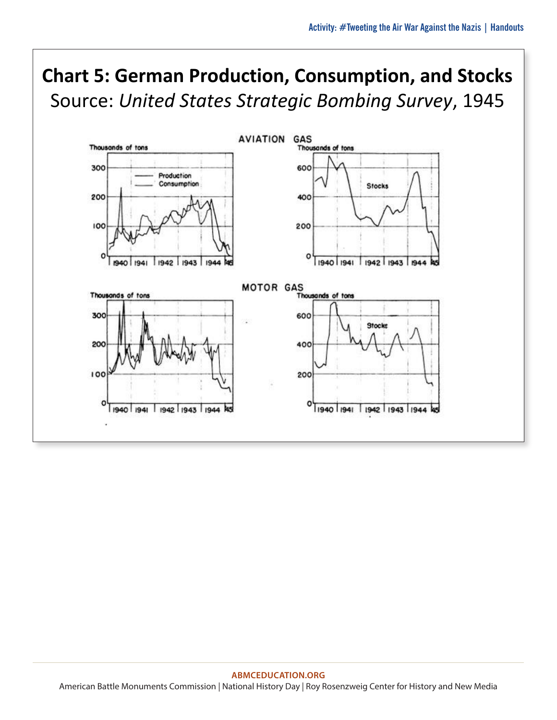### **Chart 5: German Production, Consumption, and Stocks** Source: *United States Strategic Bombing Survey*, 1945

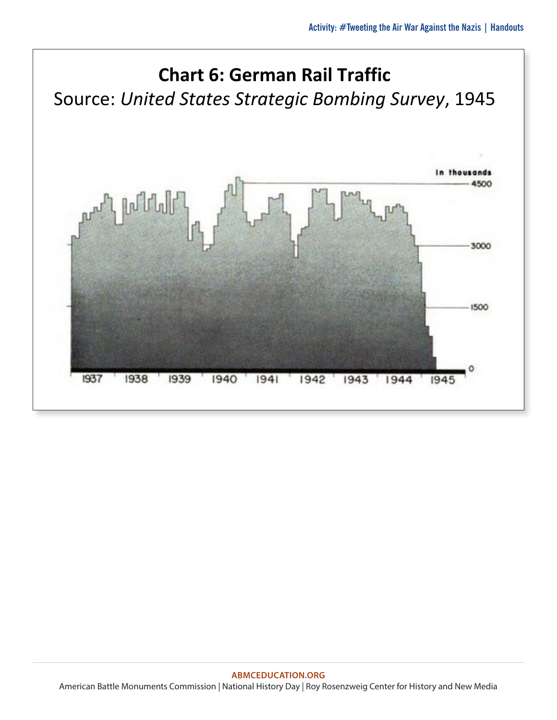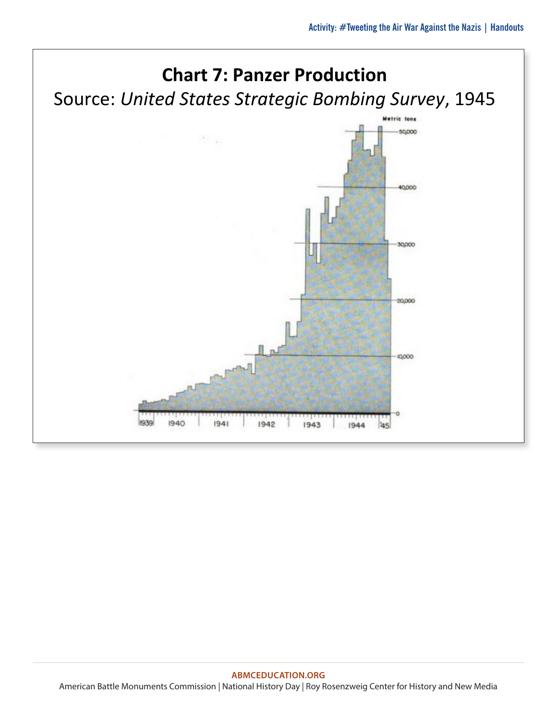